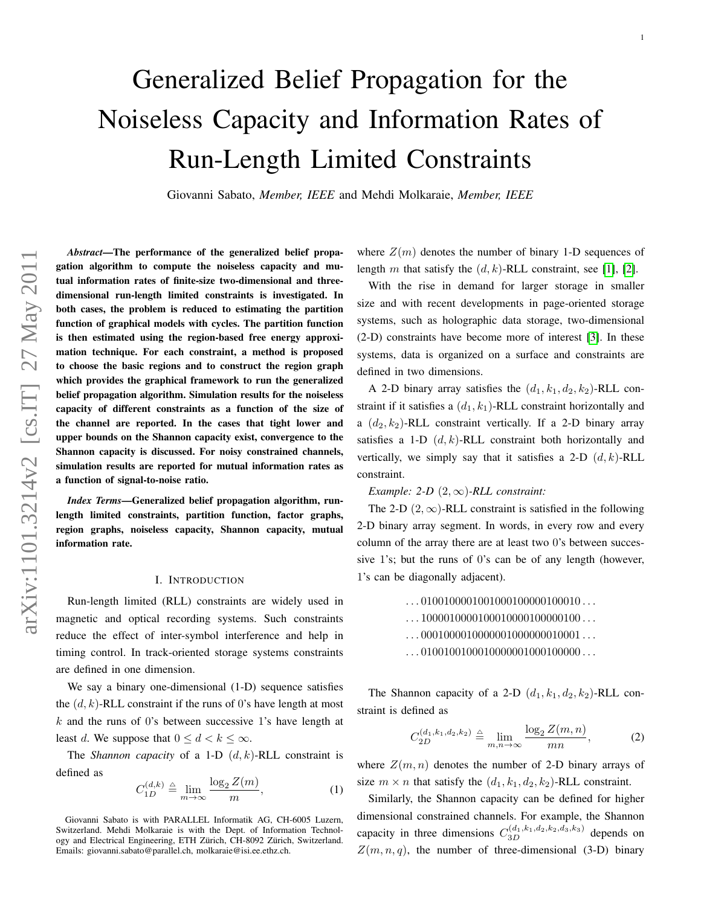# Generalized Belief Propagation for the Noiseless Capacity and Information Rates of Run-Length Limited Constraints

Giovanni Sabato, *Member, IEEE* and Mehdi Molkaraie, *Member, IEEE*

*Abstract*—The performance of the generalized belief propagation algorithm to compute the noiseless capacity and mutual information rates of finite-size two-dimensional and threedimensional run-length limited constraints is investigated. In both cases, the problem is reduced to estimating the partition function of graphical models with cycles. The partition function is then estimated using the region-based free energy approximation technique. For each constraint, a method is proposed to choose the basic regions and to construct the region graph which provides the graphical framework to run the generalized belief propagation algorithm. Simulation results for the noiseless capacity of different constraints as a function of the size of the channel are reported. In the cases that tight lower and upper bounds on the Shannon capacity exist, convergence to the Shannon capacity is discussed. For noisy constrained channels, simulation results are reported for mutual information rates as a function of signal-to-noise ratio.

*Index Terms*—Generalized belief propagation algorithm, runlength limited constraints, partition function, factor graphs, region graphs, noiseless capacity, Shannon capacity, mutual information rate.

# I. INTRODUCTION

Run-length limited (RLL) constraints are widely used in magnetic and optical recording systems. Such constraints reduce the effect of inter-symbol interference and help in timing control. In track-oriented storage systems constraints are defined in one dimension.

We say a binary one-dimensional (1-D) sequence satisfies the  $(d, k)$ -RLL constraint if the runs of 0's have length at most  $k$  and the runs of 0's between successive 1's have length at least d. We suppose that  $0 \le d < k \le \infty$ .

The *Shannon capacity* of a 1-D  $(d, k)$ -RLL constraint is defined as

$$
C_{1D}^{(d,k)} \triangleq \lim_{m \to \infty} \frac{\log_2 Z(m)}{m},\tag{1}
$$

Giovanni Sabato is with PARALLEL Informatik AG, CH-6005 Luzern, Switzerland. Mehdi Molkaraie is with the Dept. of Information Technology and Electrical Engineering, ETH Zürich, CH-8092 Zürich, Switzerland. Emails: giovanni.sabato@parallel.ch, molkaraie@isi.ee.ethz.ch.

where  $Z(m)$  denotes the number of binary 1-D sequences of length m that satisfy the  $(d, k)$ -RLL constraint, see [\[1\]](#page-7-0), [\[2\]](#page-7-1).

With the rise in demand for larger storage in smaller size and with recent developments in page-oriented storage systems, such as holographic data storage, two-dimensional (2-D) constraints have become more of interest [\[3\]](#page-7-2). In these systems, data is organized on a surface and constraints are defined in two dimensions.

A 2-D binary array satisfies the  $(d_1, k_1, d_2, k_2)$ -RLL constraint if it satisfies a  $(d_1, k_1)$ -RLL constraint horizontally and a  $(d_2, k_2)$ -RLL constraint vertically. If a 2-D binary array satisfies a 1-D  $(d, k)$ -RLL constraint both horizontally and vertically, we simply say that it satisfies a 2-D  $(d, k)$ -RLL constraint.

*Example: 2-D*  $(2, \infty)$ *-RLL constraint:* 

The 2-D  $(2, \infty)$ -RLL constraint is satisfied in the following 2-D binary array segment. In words, in every row and every column of the array there are at least two 0's between successive 1's; but the runs of 0's can be of any length (however, 1's can be diagonally adjacent).

- . . . 0100100001001000100000100010 . . .
- $\ldots 10000100001000100001000000100 \ldots$
- $\ldots$  000100001000000010000000000000001 $\ldots$
- $\ldots 01001001000100000010001000000 \ldots$

The Shannon capacity of a 2-D  $(d_1, k_1, d_2, k_2)$ -RLL constraint is defined as

<span id="page-0-0"></span>
$$
C_{2D}^{(d_1, k_1, d_2, k_2)} \triangleq \lim_{m, n \to \infty} \frac{\log_2 Z(m, n)}{mn},
$$
 (2)

where  $Z(m, n)$  denotes the number of 2-D binary arrays of size  $m \times n$  that satisfy the  $(d_1, k_1, d_2, k_2)$ -RLL constraint.

Similarly, the Shannon capacity can be defined for higher dimensional constrained channels. For example, the Shannon capacity in three dimensions  $C_{3D}^{(d_1,k_1,d_2,k_2,d_3,k_3)}$  depends on  $Z(m, n, q)$ , the number of three-dimensional (3-D) binary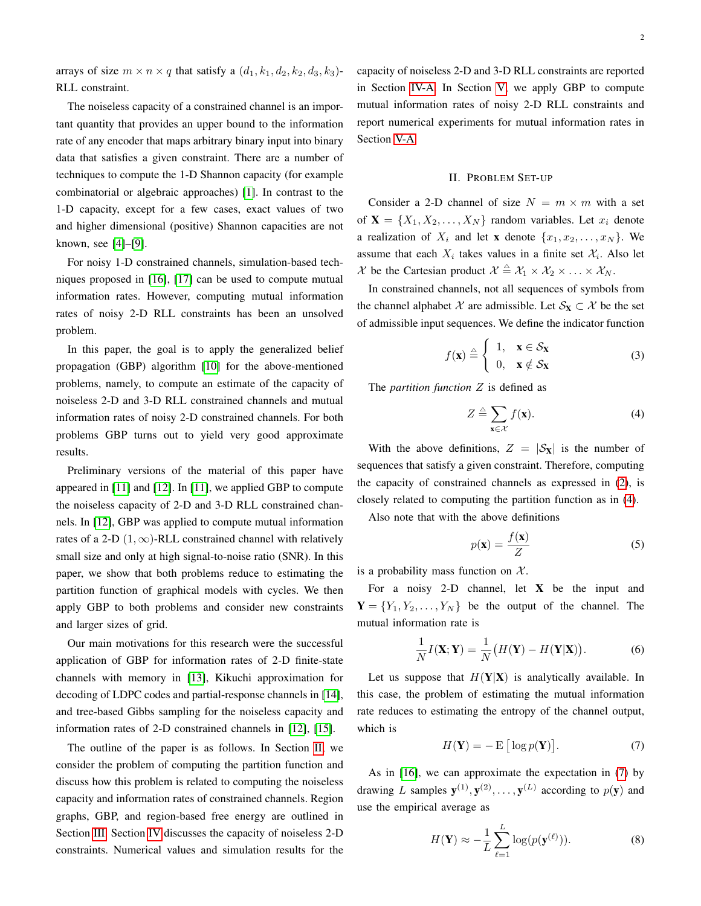arrays of size  $m \times n \times q$  that satisfy a  $(d_1, k_1, d_2, k_2, d_3, k_3)$ -RLL constraint.

The noiseless capacity of a constrained channel is an important quantity that provides an upper bound to the information rate of any encoder that maps arbitrary binary input into binary data that satisfies a given constraint. There are a number of techniques to compute the 1-D Shannon capacity (for example combinatorial or algebraic approaches) [\[1\]](#page-7-0). In contrast to the 1-D capacity, except for a few cases, exact values of two and higher dimensional (positive) Shannon capacities are not known, see [\[4\]](#page-7-3)–[\[9\]](#page-7-4).

For noisy 1-D constrained channels, simulation-based techniques proposed in [\[16\]](#page-7-5), [\[17\]](#page-7-6) can be used to compute mutual information rates. However, computing mutual information rates of noisy 2-D RLL constraints has been an unsolved problem.

In this paper, the goal is to apply the generalized belief propagation (GBP) algorithm [\[10\]](#page-7-7) for the above-mentioned problems, namely, to compute an estimate of the capacity of noiseless 2-D and 3-D RLL constrained channels and mutual information rates of noisy 2-D constrained channels. For both problems GBP turns out to yield very good approximate results.

Preliminary versions of the material of this paper have appeared in [\[11\]](#page-7-8) and [\[12\]](#page-7-9). In [\[11\]](#page-7-8), we applied GBP to compute the noiseless capacity of 2-D and 3-D RLL constrained channels. In [\[12\]](#page-7-9), GBP was applied to compute mutual information rates of a 2-D  $(1, \infty)$ -RLL constrained channel with relatively small size and only at high signal-to-noise ratio (SNR). In this paper, we show that both problems reduce to estimating the partition function of graphical models with cycles. We then apply GBP to both problems and consider new constraints and larger sizes of grid.

Our main motivations for this research were the successful application of GBP for information rates of 2-D finite-state channels with memory in [\[13\]](#page-7-10), Kikuchi approximation for decoding of LDPC codes and partial-response channels in [\[14\]](#page-7-11), and tree-based Gibbs sampling for the noiseless capacity and information rates of 2-D constrained channels in [\[12\]](#page-7-9), [\[15\]](#page-7-12).

The outline of the paper is as follows. In Section [II,](#page-1-0) we consider the problem of computing the partition function and discuss how this problem is related to computing the noiseless capacity and information rates of constrained channels. Region graphs, GBP, and region-based free energy are outlined in Section [III.](#page-2-0) Section [IV](#page-3-0) discusses the capacity of noiseless 2-D constraints. Numerical values and simulation results for the capacity of noiseless 2-D and 3-D RLL constraints are reported in Section [IV-A.](#page-3-1) In Section [V,](#page-5-0) we apply GBP to compute mutual information rates of noisy 2-D RLL constraints and report numerical experiments for mutual information rates in Section [V-A.](#page-6-0)

#### II. PROBLEM SET-UP

<span id="page-1-0"></span>Consider a 2-D channel of size  $N = m \times m$  with a set of  $X = \{X_1, X_2, \ldots, X_N\}$  random variables. Let  $x_i$  denote a realization of  $X_i$  and let **x** denote  $\{x_1, x_2, \ldots, x_N\}$ . We assume that each  $X_i$  takes values in a finite set  $X_i$ . Also let X be the Cartesian product  $\mathcal{X} \triangleq \mathcal{X}_1 \times \mathcal{X}_2 \times \ldots \times \mathcal{X}_N$ .

In constrained channels, not all sequences of symbols from the channel alphabet X are admissible. Let  $S_X \subset \mathcal{X}$  be the set of admissible input sequences. We define the indicator function

$$
f(\mathbf{x}) \stackrel{\triangle}{=} \begin{cases} 1, & \mathbf{x} \in \mathcal{S}_{\mathbf{X}} \\ 0, & \mathbf{x} \notin \mathcal{S}_{\mathbf{X}} \end{cases}
$$
 (3)

The *partition function* Z is defined as

<span id="page-1-1"></span>
$$
Z \triangleq \sum_{\mathbf{x} \in \mathcal{X}} f(\mathbf{x}). \tag{4}
$$

With the above definitions,  $Z = |\mathcal{S}_X|$  is the number of sequences that satisfy a given constraint. Therefore, computing the capacity of constrained channels as expressed in [\(2\)](#page-0-0), is closely related to computing the partition function as in [\(4\)](#page-1-1).

Also note that with the above definitions

$$
p(\mathbf{x}) = \frac{f(\mathbf{x})}{Z} \tag{5}
$$

is a probability mass function on  $X$ .

For a noisy 2-D channel, let  $X$  be the input and  $Y = \{Y_1, Y_2, \ldots, Y_N\}$  be the output of the channel. The mutual information rate is

$$
\frac{1}{N}I(\mathbf{X}; \mathbf{Y}) = \frac{1}{N}(H(\mathbf{Y}) - H(\mathbf{Y}|\mathbf{X})).
$$
\n(6)

Let us suppose that  $H(Y|X)$  is analytically available. In this case, the problem of estimating the mutual information rate reduces to estimating the entropy of the channel output, which is

<span id="page-1-2"></span>
$$
H(\mathbf{Y}) = -\mathbf{E} \left[ \log p(\mathbf{Y}) \right]. \tag{7}
$$

As in [\[16\]](#page-7-5), we can approximate the expectation in [\(7\)](#page-1-2) by drawing L samples  $\mathbf{y}^{(1)}, \mathbf{y}^{(2)}, \dots, \mathbf{y}^{(L)}$  according to  $p(\mathbf{y})$  and use the empirical average as

<span id="page-1-3"></span>
$$
H(\mathbf{Y}) \approx -\frac{1}{L} \sum_{\ell=1}^{L} \log(p(\mathbf{y}^{(\ell)})).
$$
 (8)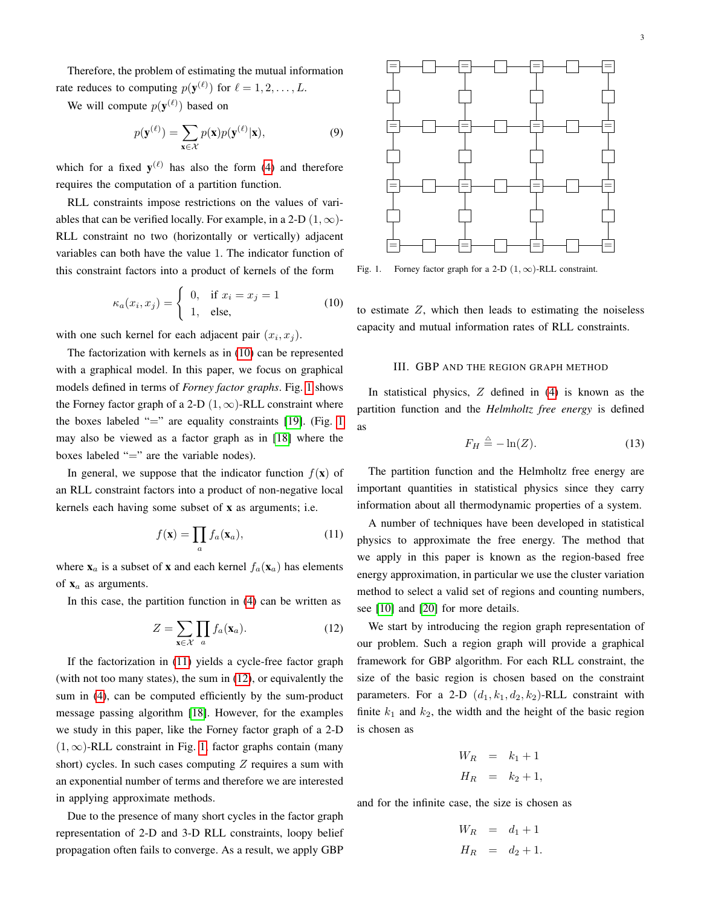Therefore, the problem of estimating the mutual information rate reduces to computing  $p(\mathbf{y}^{(\ell)})$  for  $\ell = 1, 2, ..., L$ .

We will compute  $p(\mathbf{y}^{(\ell)})$  based on

$$
p(\mathbf{y}^{(\ell)}) = \sum_{\mathbf{x} \in \mathcal{X}} p(\mathbf{x}) p(\mathbf{y}^{(\ell)} | \mathbf{x}),
$$
\n(9)

which for a fixed  $y^{(\ell)}$  has also the form [\(4\)](#page-1-1) and therefore requires the computation of a partition function.

RLL constraints impose restrictions on the values of variables that can be verified locally. For example, in a 2-D  $(1, \infty)$ -RLL constraint no two (horizontally or vertically) adjacent variables can both have the value 1. The indicator function of this constraint factors into a product of kernels of the form

<span id="page-2-1"></span>
$$
\kappa_a(x_i, x_j) = \begin{cases} 0, & \text{if } x_i = x_j = 1 \\ 1, & \text{else,} \end{cases}
$$
 (10)

with one such kernel for each adjacent pair  $(x_i, x_j)$ .

The factorization with kernels as in [\(10\)](#page-2-1) can be represented with a graphical model. In this paper, we focus on graphical models defined in terms of *Forney factor graphs*. Fig. [1](#page-2-2) shows the Forney factor graph of a 2-D  $(1, \infty)$ -RLL constraint where the boxes labeled "=" are equality constraints [\[19\]](#page-7-13). (Fig. [1](#page-2-2) may also be viewed as a factor graph as in [\[18\]](#page-7-14) where the boxes labeled "=" are the variable nodes).

In general, we suppose that the indicator function  $f(\mathbf{x})$  of an RLL constraint factors into a product of non-negative local kernels each having some subset of x as arguments; i.e.

<span id="page-2-3"></span>
$$
f(\mathbf{x}) = \prod_{a} f_a(\mathbf{x}_a),
$$
 (11)

where  $x_a$  is a subset of x and each kernel  $f_a(x_a)$  has elements of  $x_a$  as arguments.

In this case, the partition function in [\(4\)](#page-1-1) can be written as

<span id="page-2-4"></span>
$$
Z = \sum_{\mathbf{x} \in \mathcal{X}} \prod_{a} f_a(\mathbf{x}_a). \tag{12}
$$

If the factorization in [\(11\)](#page-2-3) yields a cycle-free factor graph (with not too many states), the sum in [\(12\)](#page-2-4), or equivalently the sum in [\(4\)](#page-1-1), can be computed efficiently by the sum-product message passing algorithm [\[18\]](#page-7-14). However, for the examples we study in this paper, like the Forney factor graph of a 2-D  $(1, \infty)$ -RLL constraint in Fig. [1,](#page-2-2) factor graphs contain (many short) cycles. In such cases computing  $Z$  requires a sum with an exponential number of terms and therefore we are interested in applying approximate methods.

Due to the presence of many short cycles in the factor graph representation of 2-D and 3-D RLL constraints, loopy belief propagation often fails to converge. As a result, we apply GBP



<span id="page-2-2"></span>Fig. 1. Forney factor graph for a 2-D  $(1, \infty)$ -RLL constraint.

to estimate  $Z$ , which then leads to estimating the noiseless capacity and mutual information rates of RLL constraints.

# III. GBP AND THE REGION GRAPH METHOD

<span id="page-2-0"></span>In statistical physics,  $Z$  defined in [\(4\)](#page-1-1) is known as the partition function and the *Helmholtz free energy* is defined as

<span id="page-2-5"></span>
$$
F_H \stackrel{\triangle}{=} -\ln(Z). \tag{13}
$$

The partition function and the Helmholtz free energy are important quantities in statistical physics since they carry information about all thermodynamic properties of a system.

A number of techniques have been developed in statistical physics to approximate the free energy. The method that we apply in this paper is known as the region-based free energy approximation, in particular we use the cluster variation method to select a valid set of regions and counting numbers, see [\[10\]](#page-7-7) and [\[20\]](#page-7-15) for more details.

We start by introducing the region graph representation of our problem. Such a region graph will provide a graphical framework for GBP algorithm. For each RLL constraint, the size of the basic region is chosen based on the constraint parameters. For a 2-D  $(d_1, k_1, d_2, k_2)$ -RLL constraint with finite  $k_1$  and  $k_2$ , the width and the height of the basic region is chosen as

$$
W_R = k_1 + 1
$$
  

$$
H_R = k_2 + 1,
$$

and for the infinite case, the size is chosen as

$$
W_R = d_1 + 1
$$
  

$$
H_R = d_2 + 1.
$$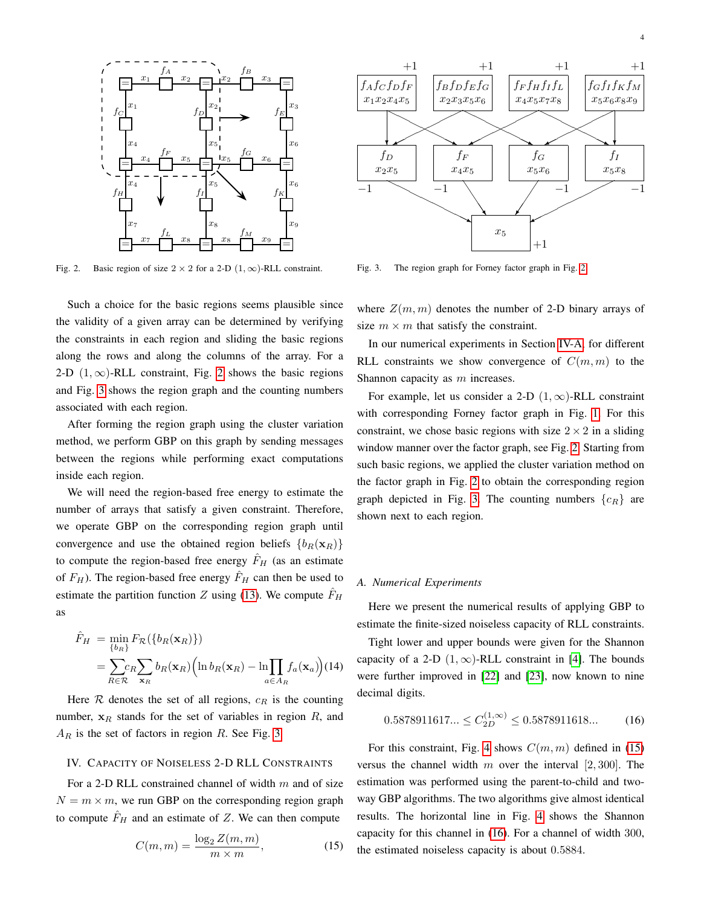

<span id="page-3-2"></span>Fig. 2. Basic region of size  $2 \times 2$  for a 2-D  $(1, \infty)$ -RLL constraint.

Such a choice for the basic regions seems plausible since the validity of a given array can be determined by verifying the constraints in each region and sliding the basic regions along the rows and along the columns of the array. For a 2-D  $(1, \infty)$ -RLL constraint, Fig. [2](#page-3-2) shows the basic regions and Fig. [3](#page-3-3) shows the region graph and the counting numbers associated with each region.

After forming the region graph using the cluster variation method, we perform GBP on this graph by sending messages between the regions while performing exact computations inside each region.

We will need the region-based free energy to estimate the number of arrays that satisfy a given constraint. Therefore, we operate GBP on the corresponding region graph until convergence and use the obtained region beliefs  ${b_R(\mathbf{x}_R)}$ to compute the region-based free energy  $F_H$  (as an estimate of  $F_H$ ). The region-based free energy  $\hat{F}_H$  can then be used to estimate the partition function Z using [\(13\)](#page-2-5). We compute  $F_H$ as

$$
\hat{F}_H = \min_{\{b_R\}} F_{\mathcal{R}}(\{b_R(\mathbf{x}_R)\})
$$
\n
$$
= \sum_{R \in \mathcal{R}} c_R \sum_{\mathbf{x}_R} b_R(\mathbf{x}_R) (\ln b_R(\mathbf{x}_R) - \ln \prod_{a \in A_R} f_a(\mathbf{x}_a)) (14)
$$

Here  $R$  denotes the set of all regions,  $c_R$  is the counting number,  $x_R$  stands for the set of variables in region  $R$ , and  $A_R$  is the set of factors in region R. See Fig. [3.](#page-3-3)

#### <span id="page-3-0"></span>IV. CAPACITY OF NOISELESS 2-D RLL CONSTRAINTS

For a 2-D RLL constrained channel of width  $m$  and of size  $N = m \times m$ , we run GBP on the corresponding region graph to compute  $F_H$  and an estimate of Z. We can then compute

<span id="page-3-4"></span>
$$
C(m,m) = \frac{\log_2 Z(m,m)}{m \times m},\tag{15}
$$



<span id="page-3-3"></span>Fig. 3. The region graph for Forney factor graph in Fig. [2.](#page-3-2)

where  $Z(m, m)$  denotes the number of 2-D binary arrays of size  $m \times m$  that satisfy the constraint.

In our numerical experiments in Section [IV-A,](#page-3-1) for different RLL constraints we show convergence of  $C(m, m)$  to the Shannon capacity as m increases.

For example, let us consider a 2-D  $(1, \infty)$ -RLL constraint with corresponding Forney factor graph in Fig. [1.](#page-2-2) For this constraint, we chose basic regions with size  $2 \times 2$  in a sliding window manner over the factor graph, see Fig. [2.](#page-3-2) Starting from such basic regions, we applied the cluster variation method on the factor graph in Fig. [2](#page-3-2) to obtain the corresponding region graph depicted in Fig. [3.](#page-3-3) The counting numbers  ${c_R}$  are shown next to each region.

# <span id="page-3-1"></span>*A. Numerical Experiments*

Here we present the numerical results of applying GBP to estimate the finite-sized noiseless capacity of RLL constraints.

Tight lower and upper bounds were given for the Shannon capacity of a 2-D  $(1, \infty)$ -RLL constraint in [\[4\]](#page-7-3). The bounds were further improved in [\[22\]](#page-7-16) and [\[23\]](#page-7-17), now known to nine decimal digits.

<span id="page-3-5"></span>
$$
0.5878911617... \le C_{2D}^{(1,\infty)} \le 0.5878911618... \tag{16}
$$

For this constraint, Fig. [4](#page-4-0) shows  $C(m, m)$  defined in [\(15\)](#page-3-4) versus the channel width m over the interval  $[2, 300]$ . The estimation was performed using the parent-to-child and twoway GBP algorithms. The two algorithms give almost identical results. The horizontal line in Fig. [4](#page-4-0) shows the Shannon capacity for this channel in [\(16\)](#page-3-5). For a channel of width 300, the estimated noiseless capacity is about 0.5884.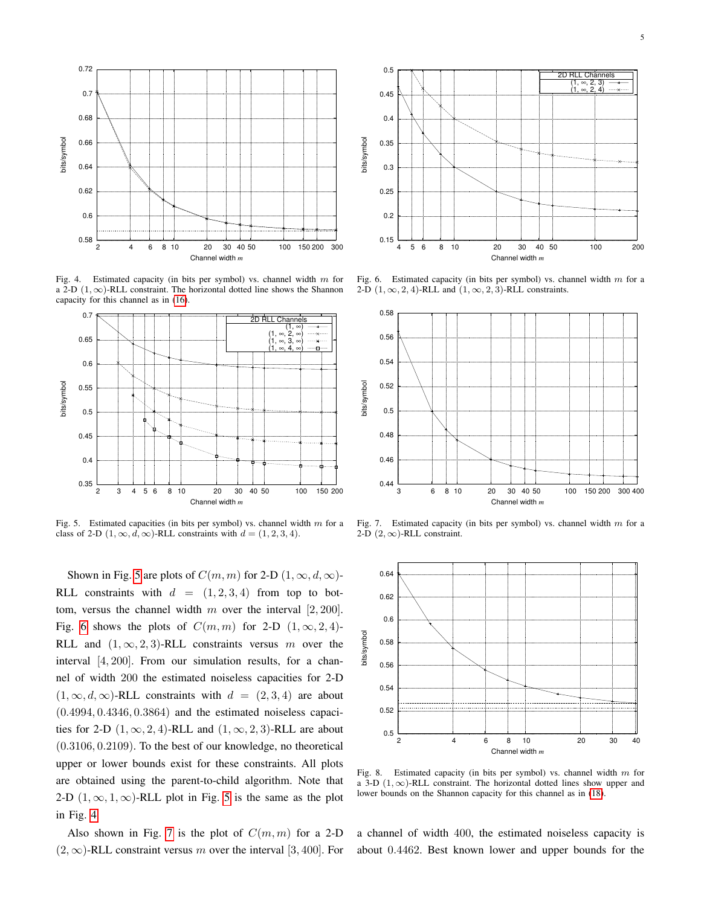

<span id="page-4-0"></span>Fig. 4. Estimated capacity (in bits per symbol) vs. channel width m for a 2-D  $(1, \infty)$ -RLL constraint. The horizontal dotted line shows the Shannon capacity for this channel as in [\(16\)](#page-3-5).



<span id="page-4-1"></span>Fig. 5. Estimated capacities (in bits per symbol) vs. channel width  $m$  for a class of 2-D  $(1, \infty, d, \infty)$ -RLL constraints with  $d = (1, 2, 3, 4)$ .

Shown in Fig. [5](#page-4-1) are plots of  $C(m, m)$  for 2-D  $(1, \infty, d, \infty)$ -RLL constraints with  $d = (1, 2, 3, 4)$  from top to bottom, versus the channel width m over the interval  $[2, 200]$ . Fig. [6](#page-4-2) shows the plots of  $C(m, m)$  for 2-D  $(1, \infty, 2, 4)$ -RLL and  $(1, \infty, 2, 3)$ -RLL constraints versus m over the interval [4, 200]. From our simulation results, for a channel of width 200 the estimated noiseless capacities for 2-D  $(1, \infty, d, \infty)$ -RLL constraints with  $d = (2, 3, 4)$  are about  $(0.4994, 0.4346, 0.3864)$  and the estimated noiseless capacities for 2-D  $(1, \infty, 2, 4)$ -RLL and  $(1, \infty, 2, 3)$ -RLL are about (0.3106, 0.2109). To the best of our knowledge, no theoretical upper or lower bounds exist for these constraints. All plots are obtained using the parent-to-child algorithm. Note that 2-D  $(1, \infty, 1, \infty)$ -RLL plot in Fig. [5](#page-4-1) is the same as the plot in Fig. [4.](#page-4-0)

Also shown in Fig. [7](#page-4-3) is the plot of  $C(m, m)$  for a 2-D  $(2, \infty)$ -RLL constraint versus m over the interval [3, 400]. For



<span id="page-4-2"></span>Fig. 6. Estimated capacity (in bits per symbol) vs. channel width  $m$  for a 2-D  $(1, \infty, 2, 4)$ -RLL and  $(1, \infty, 2, 3)$ -RLL constraints.



<span id="page-4-3"></span>Fig. 7. Estimated capacity (in bits per symbol) vs. channel width  $m$  for a 2-D  $(2, \infty)$ -RLL constraint.



<span id="page-4-4"></span>Fig. 8. Estimated capacity (in bits per symbol) vs. channel width  $m$  for a 3-D  $(1, \infty)$ -RLL constraint. The horizontal dotted lines show upper and lower bounds on the Shannon capacity for this channel as in [\(18\)](#page-5-1).

a channel of width 400, the estimated noiseless capacity is about 0.4462. Best known lower and upper bounds for the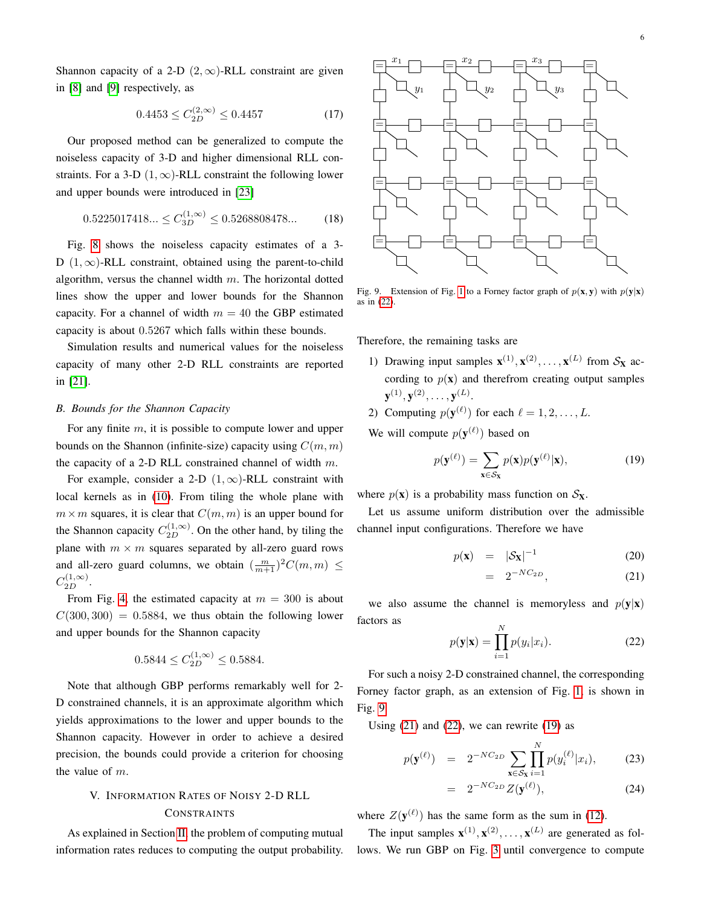Shannon capacity of a 2-D  $(2, \infty)$ -RLL constraint are given in [\[8\]](#page-7-18) and [\[9\]](#page-7-4) respectively, as

$$
0.4453 \le C_{2D}^{(2,\infty)} \le 0.4457\tag{17}
$$

Our proposed method can be generalized to compute the noiseless capacity of 3-D and higher dimensional RLL constraints. For a 3-D  $(1, \infty)$ -RLL constraint the following lower and upper bounds were introduced in [\[23\]](#page-7-17)

<span id="page-5-1"></span>
$$
0.5225017418... \le C_{3D}^{(1,\infty)} \le 0.5268808478... \tag{18}
$$

Fig. [8](#page-4-4) shows the noiseless capacity estimates of a 3- D  $(1, \infty)$ -RLL constraint, obtained using the parent-to-child algorithm, versus the channel width  $m$ . The horizontal dotted lines show the upper and lower bounds for the Shannon capacity. For a channel of width  $m = 40$  the GBP estimated capacity is about 0.5267 which falls within these bounds.

Simulation results and numerical values for the noiseless capacity of many other 2-D RLL constraints are reported in [\[21\]](#page-7-19).

# *B. Bounds for the Shannon Capacity*

For any finite  $m$ , it is possible to compute lower and upper bounds on the Shannon (infinite-size) capacity using  $C(m, m)$ the capacity of a 2-D RLL constrained channel of width  $m$ .

For example, consider a 2-D  $(1, \infty)$ -RLL constraint with local kernels as in [\(10\)](#page-2-1). From tiling the whole plane with  $m \times m$  squares, it is clear that  $C(m, m)$  is an upper bound for the Shannon capacity  $C_{2D}^{(1,\infty)}$ . On the other hand, by tiling the plane with  $m \times m$  squares separated by all-zero guard rows and all-zero guard columns, we obtain  $\left(\frac{m}{m+1}\right)^2 C(m,m) \leq$  $C_{2D}^{(1,\infty)}$ .

From Fig. [4,](#page-4-0) the estimated capacity at  $m = 300$  is about  $C(300, 300) = 0.5884$ , we thus obtain the following lower and upper bounds for the Shannon capacity

$$
0.5844 \le C_{2D}^{(1,\infty)} \le 0.5884.
$$

Note that although GBP performs remarkably well for 2- D constrained channels, it is an approximate algorithm which yields approximations to the lower and upper bounds to the Shannon capacity. However in order to achieve a desired precision, the bounds could provide a criterion for choosing the value of  $m$ .

# <span id="page-5-0"></span>V. INFORMATION RATES OF NOISY 2-D RLL CONSTRAINTS

As explained in Section [II,](#page-1-0) the problem of computing mutual information rates reduces to computing the output probability.



<span id="page-5-3"></span>Fig. 9. Extension of Fig. [1](#page-2-2) to a Forney factor graph of  $p(x, y)$  with  $p(y|x)$ as in [\(22\)](#page-5-2).

Therefore, the remaining tasks are

- 1) Drawing input samples  $\mathbf{x}^{(1)}, \mathbf{x}^{(2)}, \dots, \mathbf{x}^{(L)}$  from  $\mathcal{S}_{\mathbf{X}}$  according to  $p(x)$  and therefrom creating output samples  $\textbf{y}^{(1)}, \textbf{y}^{(2)}, \ldots, \textbf{y}^{(L)}.$
- 2) Computing  $p(\mathbf{y}^{(\ell)})$  for each  $\ell = 1, 2, \ldots, L$ .

We will compute  $p(\mathbf{y}^{(\ell)})$  based on

<span id="page-5-5"></span>
$$
p(\mathbf{y}^{(\ell)}) = \sum_{\mathbf{x} \in \mathcal{S}_{\mathbf{X}}} p(\mathbf{x}) p(\mathbf{y}^{(\ell)} | \mathbf{x}),
$$
(19)

where  $p(x)$  is a probability mass function on  $S_x$ .

Let us assume uniform distribution over the admissible channel input configurations. Therefore we have

<span id="page-5-4"></span>
$$
p(\mathbf{x}) = |\mathcal{S}_{\mathbf{X}}|^{-1} \tag{20}
$$

$$
= 2^{-NC_{2D}}, \qquad (21)
$$

we also assume the channel is memoryless and  $p(y|x)$ factors as  $\lambda$ <sub>7</sub>

<span id="page-5-2"></span>
$$
p(\mathbf{y}|\mathbf{x}) = \prod_{i=1}^{N} p(y_i|x_i).
$$
 (22)

For such a noisy 2-D constrained channel, the corresponding Forney factor graph, as an extension of Fig. [1,](#page-2-2) is shown in Fig. [9.](#page-5-3)

Using  $(21)$  and  $(22)$ , we can rewrite  $(19)$  as

$$
p(\mathbf{y}^{(\ell)}) = 2^{-NC_{2D}} \sum_{\mathbf{x} \in \mathcal{S}_{\mathbf{x}}} \prod_{i=1}^{N} p(y_i^{(\ell)} | x_i), \quad (23)
$$

$$
= 2^{-NC_{2D}}Z(\mathbf{y}^{(\ell)}), \qquad (24)
$$

where  $Z(\mathbf{y}^{(\ell)})$  has the same form as the sum in [\(12\)](#page-2-4).

The input samples  $\mathbf{x}^{(1)}, \mathbf{x}^{(2)}, \dots, \mathbf{x}^{(L)}$  are generated as follows. We run GBP on Fig. [3](#page-3-3) until convergence to compute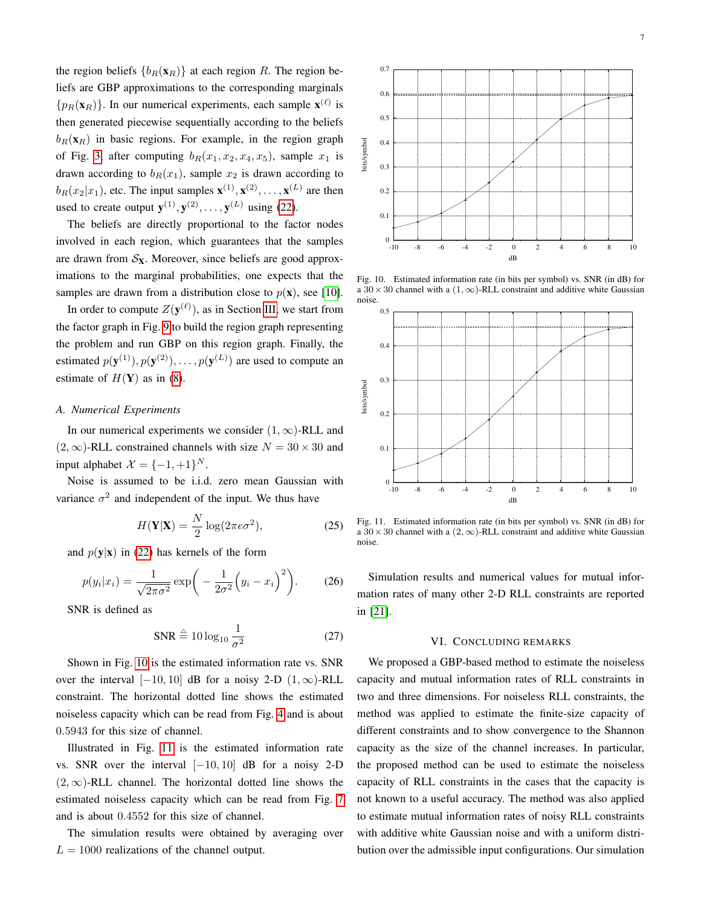the region beliefs  ${b_R(\mathbf{x}_R)}$  at each region R. The region beliefs are GBP approximations to the corresponding marginals  $\{p_R(\mathbf{x}_R)\}\$ . In our numerical experiments, each sample  $\mathbf{x}^{(\ell)}$  is then generated piecewise sequentially according to the beliefs  $b_R(\mathbf{x}_R)$  in basic regions. For example, in the region graph of Fig. [3,](#page-3-3) after computing  $b_R(x_1, x_2, x_4, x_5)$ , sample  $x_1$  is drawn according to  $b_R(x_1)$ , sample  $x_2$  is drawn according to  $b_R(x_2|x_1)$ , etc. The input samples  $\mathbf{x}^{(1)}, \mathbf{x}^{(2)}, \dots, \mathbf{x}^{(L)}$  are then used to create output  $\mathbf{y}^{(1)}, \mathbf{y}^{(2)}, \dots, \mathbf{y}^{(L)}$  using [\(22\)](#page-5-2).

The beliefs are directly proportional to the factor nodes involved in each region, which guarantees that the samples are drawn from  $S_X$ . Moreover, since beliefs are good approximations to the marginal probabilities, one expects that the samples are drawn from a distribution close to  $p(\mathbf{x})$ , see [\[10\]](#page-7-7).

In order to compute  $Z(\mathbf{y}^{(\ell)})$ , as in Section [III,](#page-2-0) we start from the factor graph in Fig. [9](#page-5-3) to build the region graph representing the problem and run GBP on this region graph. Finally, the estimated  $p(\mathbf{y}^{(1)}), p(\mathbf{y}^{(2)}), \ldots, p(\mathbf{y}^{(L)})$  are used to compute an estimate of  $H(Y)$  as in [\(8\)](#page-1-3).

# <span id="page-6-0"></span>*A. Numerical Experiments*

In our numerical experiments we consider  $(1, \infty)$ -RLL and  $(2, \infty)$ -RLL constrained channels with size  $N = 30 \times 30$  and input alphabet  $\mathcal{X} = \{-1, +1\}^N$ .

Noise is assumed to be i.i.d. zero mean Gaussian with variance  $\sigma^2$  and independent of the input. We thus have

$$
H(\mathbf{Y}|\mathbf{X}) = \frac{N}{2}\log(2\pi e\sigma^2),\tag{25}
$$

and  $p(y|x)$  in [\(22\)](#page-5-2) has kernels of the form

$$
p(y_i|x_i) = \frac{1}{\sqrt{2\pi\sigma^2}} \exp\bigg(-\frac{1}{2\sigma^2} (y_i - x_i)^2\bigg). \tag{26}
$$

SNR is defined as

$$
SNR \stackrel{\triangle}{=} 10 \log_{10} \frac{1}{\sigma^2} \tag{27}
$$

Shown in Fig. [10](#page-6-1) is the estimated information rate vs. SNR over the interval  $[-10, 10]$  dB for a noisy 2-D  $(1, \infty)$ -RLL constraint. The horizontal dotted line shows the estimated noiseless capacity which can be read from Fig. [4](#page-4-0) and is about 0.5943 for this size of channel.

Illustrated in Fig. [11](#page-6-2) is the estimated information rate vs. SNR over the interval  $[-10, 10]$  dB for a noisy 2-D  $(2, \infty)$ -RLL channel. The horizontal dotted line shows the estimated noiseless capacity which can be read from Fig. [7](#page-4-3) and is about 0.4552 for this size of channel.

The simulation results were obtained by averaging over  $L = 1000$  realizations of the channel output.



Fig. 10. Estimated information rate (in bits per symbol) vs. SNR (in dB) for a  $30 \times 30$  channel with a  $(1, \infty)$ -RLL constraint and additive white Gaussian noise.

<span id="page-6-1"></span>-10 -8 -6 -4 -2 0 2 4 6 8 10

dB

 $0 - 10$ 

0.1

0.2

0.3

bits/symbol

0.4

0.5

0.6

0.7



<span id="page-6-2"></span>Fig. 11. Estimated information rate (in bits per symbol) vs. SNR (in dB) for a  $30 \times 30$  channel with a  $(2, \infty)$ -RLL constraint and additive white Gaussian noise.

Simulation results and numerical values for mutual information rates of many other 2-D RLL constraints are reported in [\[21\]](#page-7-19).

# VI. CONCLUDING REMARKS

We proposed a GBP-based method to estimate the noiseless capacity and mutual information rates of RLL constraints in two and three dimensions. For noiseless RLL constraints, the method was applied to estimate the finite-size capacity of different constraints and to show convergence to the Shannon capacity as the size of the channel increases. In particular, the proposed method can be used to estimate the noiseless capacity of RLL constraints in the cases that the capacity is not known to a useful accuracy. The method was also applied to estimate mutual information rates of noisy RLL constraints with additive white Gaussian noise and with a uniform distribution over the admissible input configurations. Our simulation